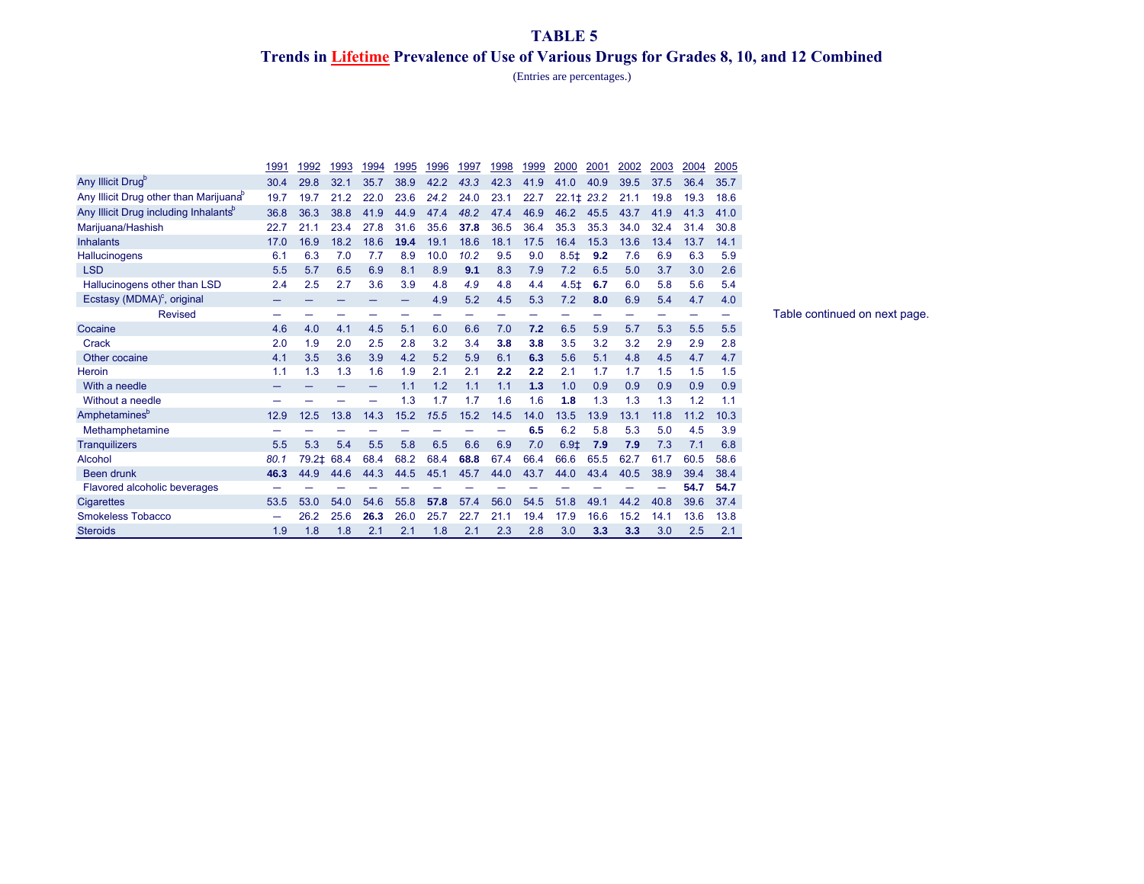## **TABLE 5 Trends in Lifetime Prevalence of Use of Various Drugs for Grades 8, 10, and 12 Combined**

(Entries are percentages.)

|                                                    | 1991 | 1992  | 1993 | 1994 | 1995 | 1996 | 1997 | 1998 | 1999 | 2000   | 2001 | 2002 | 2003 | 2004 | 2005 |
|----------------------------------------------------|------|-------|------|------|------|------|------|------|------|--------|------|------|------|------|------|
| Any Illicit Drug <sup>b</sup>                      | 30.4 | 29.8  | 32.1 | 35.7 | 38.9 | 42.2 | 43.3 | 42.3 | 41.9 | 41.0   | 40.9 | 39.5 | 37.5 | 36.4 | 35.7 |
| Any Illicit Drug other than Marijuana <sup>®</sup> | 19.7 | 19.7  | 21.2 | 22.0 | 23.6 | 24.2 | 24.0 | 23.1 | 22.7 | 22.11  | 23.2 | 21.1 | 19.8 | 19.3 | 18.6 |
| Any Illicit Drug including Inhalants <sup>p</sup>  | 36.8 | 36.3  | 38.8 | 41.9 | 44.9 | 47.4 | 48.2 | 47.4 | 46.9 | 46.2   | 45.5 | 43.7 | 41.9 | 41.3 | 41.0 |
| Marijuana/Hashish                                  | 22.7 | 21.1  | 23.4 | 27.8 | 31.6 | 35.6 | 37.8 | 36.5 | 36.4 | 35.3   | 35.3 | 34.0 | 32.4 | 31.4 | 30.8 |
| <b>Inhalants</b>                                   | 17.0 | 16.9  | 18.2 | 18.6 | 19.4 | 19.1 | 18.6 | 18.1 | 17.5 | 16.4   | 15.3 | 13.6 | 13.4 | 13.7 | 14.1 |
| Hallucinogens                                      | 6.1  | 6.3   | 7.0  | 7.7  | 8.9  | 10.0 | 10.2 | 9.5  | 9.0  | $8.5+$ | 9.2  | 7.6  | 6.9  | 6.3  | 5.9  |
| <b>LSD</b>                                         | 5.5  | 5.7   | 6.5  | 6.9  | 8.1  | 8.9  | 9.1  | 8.3  | 7.9  | 7.2    | 6.5  | 5.0  | 3.7  | 3.0  | 2.6  |
| Hallucinogens other than LSD                       | 2.4  | 2.5   | 2.7  | 3.6  | 3.9  | 4.8  | 4.9  | 4.8  | 4.4  | $4.5+$ | 6.7  | 6.0  | 5.8  | 5.6  | 5.4  |
| Ecstasy (MDMA) $\textdegree$ , original            |      |       |      |      |      | 4.9  | 5.2  | 4.5  | 5.3  | 7.2    | 8.0  | 6.9  | 5.4  | 4.7  | 4.0  |
| <b>Revised</b>                                     | -    |       |      |      |      |      |      |      |      |        |      |      |      | -    |      |
| Cocaine                                            | 4.6  | 4.0   | 4.1  | 4.5  | 5.1  | 6.0  | 6.6  | 7.0  | 7.2  | 6.5    | 5.9  | 5.7  | 5.3  | 5.5  | 5.5  |
| Crack                                              | 2.0  | 1.9   | 2.0  | 2.5  | 2.8  | 3.2  | 3.4  | 3.8  | 3.8  | 3.5    | 3.2  | 3.2  | 2.9  | 2.9  | 2.8  |
| Other cocaine                                      | 4.1  | 3.5   | 3.6  | 3.9  | 4.2  | 5.2  | 5.9  | 6.1  | 6.3  | 5.6    | 5.1  | 4.8  | 4.5  | 4.7  | 4.7  |
| Heroin                                             | 1.1  | 1.3   | 1.3  | 1.6  | 1.9  | 2.1  | 2.1  | 2.2  | 2.2  | 2.1    | 1.7  | 1.7  | 1.5  | 1.5  | 1.5  |
| With a needle                                      |      |       |      |      | 1.1  | 1.2  | 1.1  | 1.1  | 1.3  | 1.0    | 0.9  | 0.9  | 0.9  | 0.9  | 0.9  |
| Without a needle                                   |      |       |      |      | 1.3  | 1.7  | 1.7  | 1.6  | 1.6  | 1.8    | 1.3  | 1.3  | 1.3  | 1.2  | 1.1  |
| Amphetamines <sup>b</sup>                          | 12.9 | 12.5  | 13.8 | 14.3 | 15.2 | 15.5 | 15.2 | 14.5 | 14.0 | 13.5   | 13.9 | 13.1 | 11.8 | 11.2 | 10.3 |
| Methamphetamine                                    |      |       |      |      |      |      |      |      | 6.5  | 6.2    | 5.8  | 5.3  | 5.0  | 4.5  | 3.9  |
| <b>Tranquilizers</b>                               | 5.5  | 5.3   | 5.4  | 5.5  | 5.8  | 6.5  | 6.6  | 6.9  | 7.0  | $6.9+$ | 7.9  | 7.9  | 7.3  | 7.1  | 6.8  |
| <b>Alcohol</b>                                     | 80.1 | 79.2‡ | 68.4 | 68.4 | 68.2 | 68.4 | 68.8 | 67.4 | 66.4 | 66.6   | 65.5 | 62.7 | 61.7 | 60.5 | 58.6 |
| <b>Been drunk</b>                                  | 46.3 | 44.9  | 44.6 | 44.3 | 44.5 | 45.1 | 45.7 | 44.0 | 43.7 | 44.0   | 43.4 | 40.5 | 38.9 | 39.4 | 38.4 |
| Flavored alcoholic beverages                       |      |       |      |      |      |      |      |      |      |        |      |      |      | 54.7 | 54.7 |
| <b>Cigarettes</b>                                  | 53.5 | 53.0  | 54.0 | 54.6 | 55.8 | 57.8 | 57.4 | 56.0 | 54.5 | 51.8   | 49.1 | 44.2 | 40.8 | 39.6 | 37.4 |
| Smokeless Tobacco                                  |      | 26.2  | 25.6 | 26.3 | 26.0 | 25.7 | 22.7 | 21.1 | 19.4 | 17.9   | 16.6 | 15.2 | 14.1 | 13.6 | 13.8 |
| <b>Steroids</b>                                    | 1.9  | 1.8   | 1.8  | 2.1  | 2.1  | 1.8  | 2.1  | 2.3  | 2.8  | 3.0    | 3.3  | 3.3  | 3.0  | 2.5  | 2.1  |

Table continued on next page.